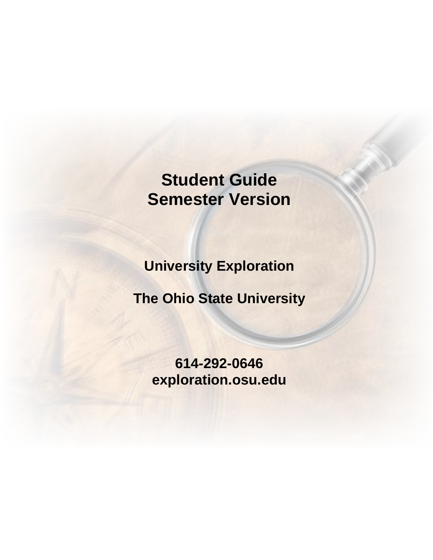# **Student Guide Semester Version**

**University Exploration** 

**The Ohio State University**

**614-292-0646 exploration.osu.edu**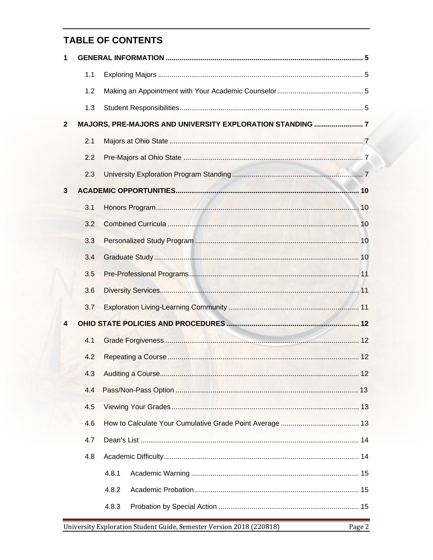# **TABLE OF CONTENTS**

| 1.1 |       |                                                           |
|-----|-------|-----------------------------------------------------------|
| 1.2 |       |                                                           |
| 1.3 |       |                                                           |
|     |       |                                                           |
| 2.1 |       |                                                           |
| 2.2 |       |                                                           |
| 2.3 |       |                                                           |
|     |       |                                                           |
| 3.1 |       |                                                           |
| 3.2 |       |                                                           |
| 3.3 |       |                                                           |
| 3.4 |       |                                                           |
| 3.5 |       |                                                           |
| 3.6 |       |                                                           |
| 3.7 |       |                                                           |
|     |       |                                                           |
| 4.1 |       |                                                           |
| 4.2 |       |                                                           |
| 4.3 |       |                                                           |
| 4.4 |       |                                                           |
| 4.5 |       |                                                           |
| 4.6 |       |                                                           |
| 4.7 |       |                                                           |
| 4.8 |       |                                                           |
|     | 4.8.1 |                                                           |
|     | 4.8.2 |                                                           |
|     | 4.8.3 |                                                           |
|     |       | MAJORS, PRE-MAJORS AND UNIVERSITY EXPLORATION STANDING  7 |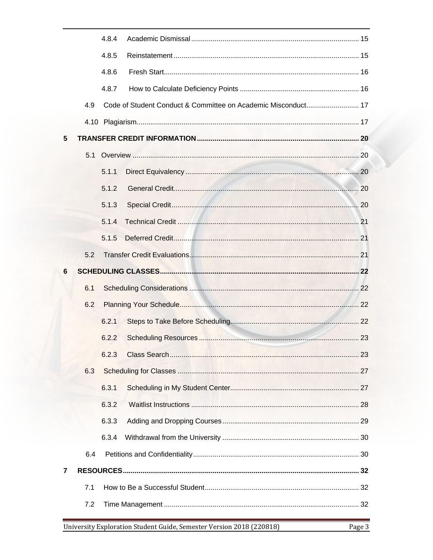|   |     | 4.8.4 |  |
|---|-----|-------|--|
|   |     | 4.8.5 |  |
|   |     | 4.8.6 |  |
|   |     | 4.8.7 |  |
|   | 4.9 |       |  |
|   |     |       |  |
| 5 |     |       |  |
|   | 5.1 |       |  |
|   |     | 5.1.1 |  |
|   |     | 5.1.2 |  |
|   |     | 5.1.3 |  |
|   |     | 5.1.4 |  |
|   |     | 5.1.5 |  |
|   | 5.2 |       |  |
| 6 |     |       |  |
|   | 6.1 |       |  |
|   | 6.2 |       |  |
|   |     | 6.2.1 |  |
|   |     | 6.2.2 |  |
|   |     | 6.2.3 |  |
|   | 6.3 |       |  |
|   |     | 6.3.1 |  |
|   |     | 6.3.2 |  |
|   |     | 6.3.3 |  |
|   |     | 6.3.4 |  |
|   | 6.4 |       |  |
| 7 |     |       |  |
|   | 7.1 |       |  |
|   | 7.2 |       |  |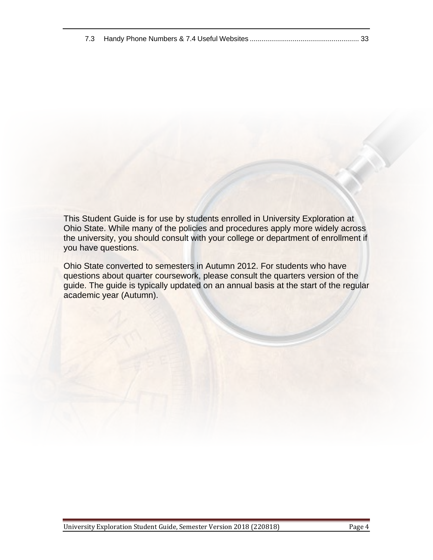This Student Guide is for use by students enrolled in University Exploration at Ohio State. While many of the policies and procedures apply more widely across the university, you should consult with your college or department of enrollment if you have questions.

Ohio State converted to semesters in Autumn 2012. For students who have questions about quarter coursework, please consult the quarters version of the guide. The guide is typically updated on an annual basis at the start of the regular academic year (Autumn).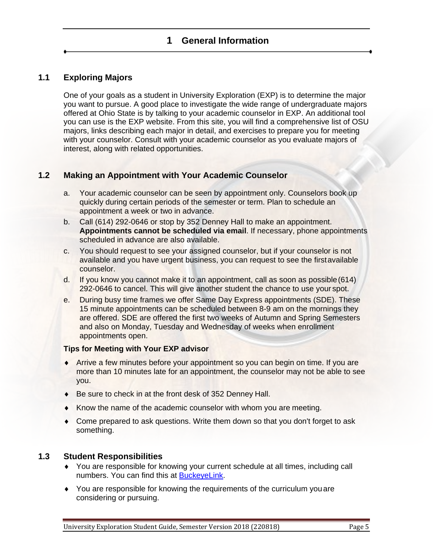# **1 General Information**

## **1.1 Exploring Majors**

One of your goals as a student in University Exploration (EXP) is to determine the major you want to pursue. A good place to investigate the wide range of undergraduate majors offered at Ohio State is by talking to your academic counselor in EXP. An additional tool you can use is the EXP website. From this site, you will find a comprehensive list of OSU majors, links describing each major in detail, and exercises to prepare you for meeting with your counselor. Consult with your academic counselor as you evaluate majors of interest, along with related opportunities.

## **1.2 Making an Appointment with Your Academic Counselor**

- a. Your academic counselor can be seen by appointment only. Counselors book up quickly during certain periods of the semester or term. Plan to schedule an appointment a week or two in advance.
- b. Call (614) 292-0646 or stop by 352 Denney Hall to make an appointment. **Appointments cannot be scheduled via email**. If necessary, phone appointments scheduled in advance are also available.
- c. You should request to see your assigned counselor, but if your counselor is not available and you have urgent business, you can request to see the firstavailable counselor.
- d. If you know you cannot make it to an appointment, call as soon as possible(614) 292-0646 to cancel. This will give another student the chance to use your spot.
- e. During busy time frames we offer Same Day Express appointments (SDE). These 15 minute appointments can be scheduled between 8-9 am on the mornings they are offered. SDE are offered the first two weeks of Autumn and Spring Semesters and also on Monday, Tuesday and Wednesday of weeks when enrollment appointments open.

#### **Tips for Meeting with Your EXP advisor**

- ♦ Arrive a few minutes before your appointment so you can begin on time. If you are more than 10 minutes late for an appointment, the counselor may not be able to see you.
- ♦ Be sure to check in at the front desk of 352 Denney Hall.
- ♦ Know the name of the academic counselor with whom you are meeting.
- ♦ Come prepared to ask questions. Write them down so that you don't forget to ask something.

## **1.3 Student Responsibilities**

- ♦ You are responsible for knowing your current schedule at all times, including call numbers. You can find this at [BuckeyeLink.](http://buckeyelink.osu.edu/)
- ♦ You are responsible for knowing the requirements of the curriculum youare considering or pursuing.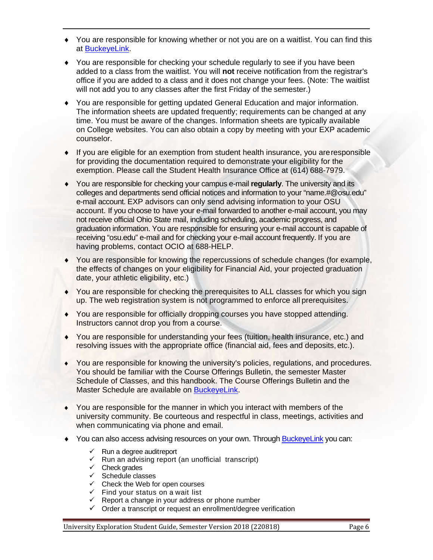- ♦ You are responsible for knowing whether or not you are on a waitlist. You can find this at [BuckeyeLink.](http://buckeyelink.osu.edu/)
- ♦ You are responsible for checking your schedule regularly to see if you have been added to a class from the waitlist. You will **not** receive notification from the registrar's office if you are added to a class and it does not change your fees. (Note: The waitlist will not add you to any classes after the first Friday of the semester.)
- ♦ You are responsible for getting updated General Education and major information. The information sheets are updated frequently; requirements can be changed at any time. You must be aware of the changes. Information sheets are typically available on College websites. You can also obtain a copy by meeting with your EXP academic counselor.
- ♦ If you are eligible for an exemption from student health insurance, you areresponsible for providing the documentation required to demonstrate your eligibility for the exemption. Please call the Student Health Insurance Office at (614) 688-7979.
- ♦ You are responsible for checking your campus e-mail **regularly**. The university and its colleges and departments send official notices and information to your ["name.#@osu.edu"](mailto:name.%23@osu.edu) e-mail account. EXP advisors can only send advising information to your OSU account. If you choose to have your e-mail forwarded to another e-mail account, you may not receive official Ohio State mail, including scheduling, academic progress, and graduation information. You are responsible for ensuring your e-mail account is capable of receiving "osu.edu" e-mail and for checking your e-mail account frequently. If you are having problems, contact OCIO at 688-HELP.
- ♦ You are responsible for knowing the repercussions of schedule changes (for example, the effects of changes on your eligibility for Financial Aid, your projected graduation date, your athletic eligibility, etc.)
- ♦ You are responsible for checking the prerequisites to ALL classes for which you sign up. The web registration system is not programmed to enforce all prerequisites.
- ♦ You are responsible for officially dropping courses you have stopped attending. Instructors cannot drop you from a course.
- ♦ You are responsible for understanding your fees (tuition, health insurance, etc.) and resolving issues with the appropriate office (financial aid, fees and deposits, etc.).
- ♦ You are responsible for knowing the university's policies, regulations, and procedures. You should be familiar with the Course Offerings Bulletin, the semester Master Schedule of Classes, and this handbook. The Course Offerings Bulletin and the Master Schedule are available on [BuckeyeLink.](http://buckeyelink.osu.edu/)
- ♦ You are responsible for the manner in which you interact with members of the university community. Be courteous and respectful in class, meetings, activities and when communicating via phone and email.
- ◆ You can also access advising resources on your own. Through **BuckeyeLink** you can:
	- $\checkmark$  Run a degree auditreport
	- $\checkmark$  Run an advising report (an unofficial transcript)
	- $\checkmark$  Check grades
	- $\checkmark$  Schedule classes
	- $\checkmark$  Check the Web for open courses
	- $\checkmark$  Find your status on a wait list
	- $\checkmark$  Report a change in your address or phone number
	- $\checkmark$  Order a transcript or request an enrollment/degree verification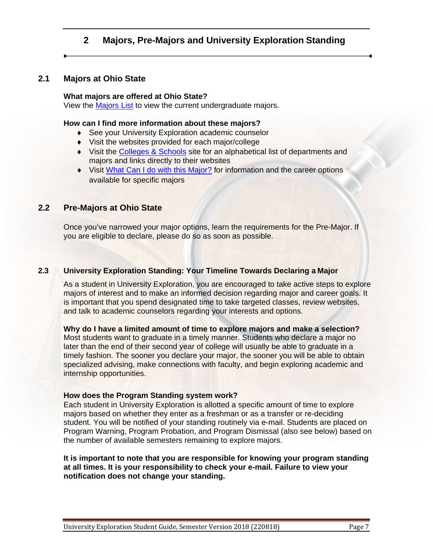# **2 Majors, Pre-Majors and University Exploration Standing**

## **2.1 Majors at Ohio State**

#### **What majors are offered at Ohio State?**

View the [Majors List](http://majors.osu.edu/) to view the current undergraduate majors.

#### **How can I find more information about these majors?**

- ♦ See your University Exploration academic counselor
- ♦ Visit the websites provided for each major/college
- ♦ Visit the [Colleges & Schools](http://www.osu.edu/academics/a-z.php) site for an alphabetical list of departments and majors and links directly to their websites
- ♦ Visit [What Can I do with this Major?](http://careerconnection.osu.edu/undergraduates/explore-careers/what-can-i-do-with-this-major/) for information and the career options available for specific majors

## **2.2 Pre-Majors at Ohio State**

Once you've narrowed your major options, learn the requirements for the Pre-Major. If you are eligible to declare, please do so as soon as possible.

## **2.3 University Exploration Standing: Your Timeline Towards Declaring a Major**

As a student in University Exploration, you are encouraged to take active steps to explore majors of interest and to make an informed decision regarding major and career goals. It is important that you spend designated time to take targeted classes, review websites, and talk to academic counselors regarding your interests and options.

**Why do I have a limited amount of time to explore majors and make a selection?**  Most students want to graduate in a timely manner. Students who declare a major no later than the end of their second year of college will usually be able to graduate in a timely fashion. The sooner you declare your major, the sooner you will be able to obtain specialized advising, make connections with faculty, and begin exploring academic and internship opportunities.

#### **How does the Program Standing system work?**

Each student in University Exploration is allotted a specific amount of time to explore majors based on whether they enter as a freshman or as a transfer or re-deciding student. You will be notified of your standing routinely via e-mail. Students are placed on Program Warning, Program Probation, and Program Dismissal (also see below) based on the number of available semesters remaining to explore majors.

**It is important to note that you are responsible for knowing your program standing at all times. It is your responsibility to check your e-mail. Failure to view your notification does not change your standing.**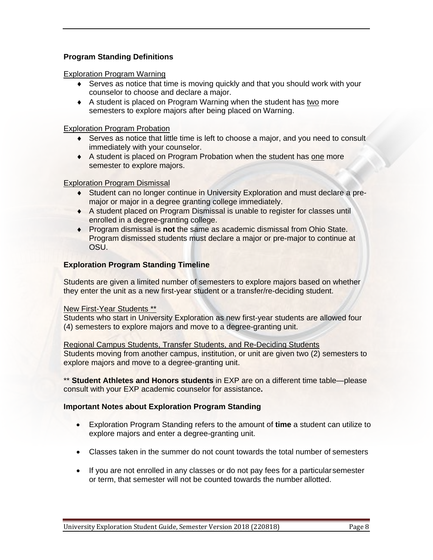## **Program Standing Definitions**

Exploration Program Warning

- ♦ Serves as notice that time is moving quickly and that you should work with your counselor to choose and declare a major.
- ♦ A student is placed on Program Warning when the student has two more semesters to explore majors after being placed on Warning.

## Exploration Program Probation

- ♦ Serves as notice that little time is left to choose a major, and you need to consult immediately with your counselor.
- ♦ A student is placed on Program Probation when the student has one more semester to explore majors.

## Exploration Program Dismissal

- Student can no longer continue in University Exploration and must declare a premajor or major in a degree granting college immediately.
- ♦ A student placed on Program Dismissal is unable to register for classes until enrolled in a degree-granting college.
- ♦ Program dismissal is **not** the same as academic dismissal from Ohio State. Program dismissed students must declare a major or pre-major to continue at OSU.

## **Exploration Program Standing Timeline**

Students are given a limited number of semesters to explore majors based on whether they enter the unit as a new first-year student or a transfer/re-deciding student.

#### New First-Year Students \*\*

Students who start in University Exploration as new first-year students are allowed four (4) semesters to explore majors and move to a degree-granting unit.

Regional Campus Students, Transfer Students, and Re-Deciding Students Students moving from another campus, institution, or unit are given two (2) semesters to explore majors and move to a degree-granting unit.

\*\* **Student Athletes and Honors students** in EXP are on a different time table—please consult with your EXP academic counselor for assistance**.**

## **Important Notes about Exploration Program Standing**

- Exploration Program Standing refers to the amount of **time** a student can utilize to explore majors and enter a degree-granting unit.
- Classes taken in the summer do not count towards the total number of semesters
- If you are not enrolled in any classes or do not pay fees for a particularsemester or term, that semester will not be counted towards the number allotted.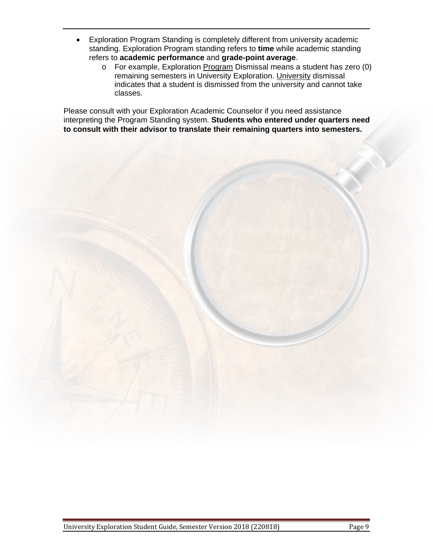- Exploration Program Standing is completely different from university academic standing. Exploration Program standing refers to **time** while academic standing refers to **academic performance** and **grade-point average**.
	- o For example, Exploration Program Dismissal means a student has zero (0) remaining semesters in University Exploration. University dismissal indicates that a student is dismissed from the university and cannot take classes.

Please consult with your Exploration Academic Counselor if you need assistance interpreting the Program Standing system. **Students who entered under quarters need to consult with their advisor to translate their remaining quarters into semesters.**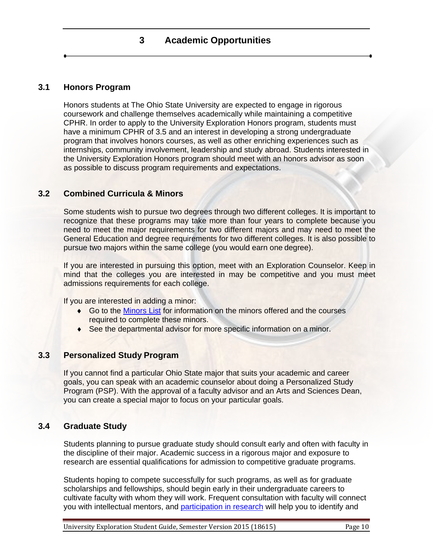## **3.1 Honors Program**

Honors students at The Ohio State University are expected to engage in rigorous coursework and challenge themselves academically while maintaining a competitive CPHR. In order to apply to the University Exploration Honors program, students must have a minimum CPHR of 3.5 and an interest in developing a strong undergraduate program that involves honors courses, as well as other enriching experiences such as internships, community involvement, leadership and study abroad. Students interested in the University Exploration Honors program should meet with an honors advisor as soon as possible to discuss program requirements and expectations.

## **3.2 Combined Curricula & Minors**

Some students wish to pursue two degrees through two different colleges. It is important to recognize that these programs may take more than four years to complete because you need to meet the major requirements for two different majors and may need to meet the General Education and degree requirements for two different colleges. It is also possible to pursue two majors within the same college (you would earn one degree).

If you are interested in pursuing this option, meet with an Exploration Counselor. Keep in mind that the colleges you are interested in may be competitive and you must meet admissions requirements for each college.

If you are interested in adding a minor:

- ♦ Go to the [Minors List](http://artsandsciences.osu.edu/students/minors) for information on the minors offered and the courses required to complete these minors.
- ♦ See the departmental advisor for more specific information on a minor.

## **3.3 Personalized Study Program**

If you cannot find a particular Ohio State major that suits your academic and career goals, you can speak with an academic counselor about doing a Personalized Study Program (PSP). With the approval of a faculty advisor and an Arts and Sciences Dean, you can create a special major to focus on your particular goals.

## **3.4 Graduate Study**

Students planning to pursue graduate study should consult early and often with faculty in the discipline of their major. Academic success in a rigorous major and exposure to research are essential qualifications for admission to competitive graduate programs.

Students hoping to compete successfully for such programs, as well as for graduate scholarships and fellowships, should begin early in their undergraduate careers to cultivate faculty with whom they will work. Frequent consultation with faculty will connect you with intellectual mentors, and [participation in research](http://www.undergraduateresearch.osu.edu/) will help you to identify and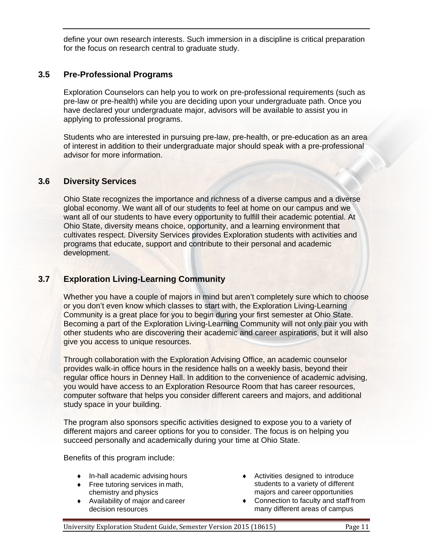define your own research interests. Such immersion in a discipline is critical preparation for the focus on research central to graduate study.

# **3.5 Pre-Professional Programs**

Exploration Counselors can help you to work on pre-professional requirements (such as pre-law or pre-health) while you are deciding upon your undergraduate path. Once you have declared your undergraduate major, advisors will be available to assist you in applying to professional programs.

Students who are interested in pursuing pre-law, pre-health, or pre-education as an area of interest in addition to their undergraduate major should speak with a pre-professional advisor for more information.

### **3.6 Diversity Services**

Ohio State recognizes the importance and richness of a diverse campus and a diverse global economy. We want all of our students to feel at home on our campus and we want all of our students to have every opportunity to fulfill their academic potential. At Ohio State, diversity means choice, opportunity, and a learning environment that cultivates respect. Diversity Services provides Exploration students with activities and programs that educate, support and contribute to their personal and academic development.

# **3.7 Exploration Living-Learning Community**

Whether you have a couple of majors in mind but aren't completely sure which to choose or you don't even know which classes to start with, the Exploration Living-Learning Community is a great place for you to begin during your first semester at Ohio State. Becoming a part of the Exploration Living-Learning Community will not only pair you with other students who are discovering their academic and career aspirations, but it will also give you access to unique resources.

Through collaboration with the Exploration Advising Office, an academic counselor provides walk-in office hours in the residence halls on a weekly basis, beyond their regular office hours in Denney Hall. In addition to the convenience of academic advising, you would have access to an Exploration Resource Room that has career resources, computer software that helps you consider different careers and majors, and additional study space in your building.

The program also sponsors specific activities designed to expose you to a variety of different majors and career options for you to consider. The focus is on helping you succeed personally and academically during your time at Ohio State.

Benefits of this program include:

- $\bullet$  In-hall academic advising hours
- $\bullet$  Free tutoring services in math, chemistry and physics
- ♦ Availability of major and career decision resources
- ♦ Activities designed to introduce students to a variety of different majors and career opportunities
- ♦ Connection to faculty and staff from many different areas of campus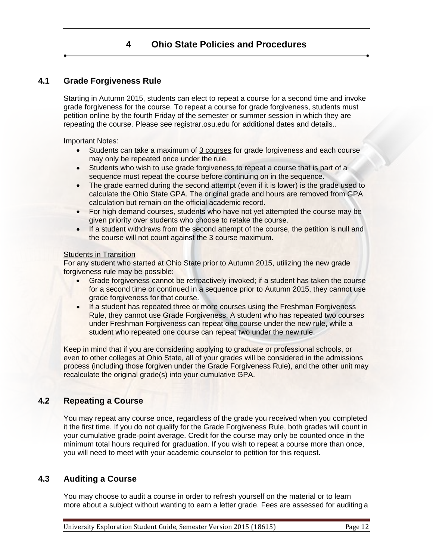# **4 Ohio State Policies and Procedures**

## **4.1 Grade Forgiveness Rule**

Starting in Autumn 2015, students can elect to repeat a course for a second time and invoke grade forgiveness for the course. To repeat a course for grade forgiveness, students must petition online by the fourth Friday of the semester or summer session in which they are repeating the course. Please see registrar.osu.edu for additional dates and details..

Important Notes:

- Students can take a maximum of 3 courses for grade forgiveness and each course may only be repeated once under the rule.
- Students who wish to use grade forgiveness to repeat a course that is part of a sequence must repeat the course before continuing on in the sequence.
- The grade earned during the second attempt (even if it is lower) is the grade used to calculate the Ohio State GPA. The original grade and hours are removed from GPA calculation but remain on the official academic record.
- For high demand courses, students who have not yet attempted the course may be given priority over students who choose to retake the course.
- If a student withdraws from the second attempt of the course, the petition is null and the course will not count against the 3 course maximum.

#### Students in Transition

For any student who started at Ohio State prior to Autumn 2015, utilizing the new grade forgiveness rule may be possible:

- Grade forgiveness cannot be retroactively invoked; if a student has taken the course for a second time or continued in a sequence prior to Autumn 2015, they cannot use grade forgiveness for that course.
- If a student has repeated three or more courses using the Freshman Forgiveness Rule, they cannot use Grade Forgiveness. A student who has repeated two courses under Freshman Forgiveness can repeat one course under the new rule, while a student who repeated one course can repeat two under the new rule.

Keep in mind that if you are considering applying to graduate or professional schools, or even to other colleges at Ohio State, all of your grades will be considered in the admissions process (including those forgiven under the Grade Forgiveness Rule), and the other unit may recalculate the original grade(s) into your cumulative GPA.

# **4.2 Repeating a Course**

You may repeat any course once, regardless of the grade you received when you completed it the first time. If you do not qualify for the Grade Forgiveness Rule, both grades will count in your cumulative grade-point average. Credit for the course may only be counted once in the minimum total hours required for graduation. If you wish to repeat a course more than once, you will need to meet with your academic counselor to petition for this request.

# **4.3 Auditing a Course**

You may choose to audit a course in order to refresh yourself on the material or to learn more about a subject without wanting to earn a letter grade. Fees are assessed for auditing a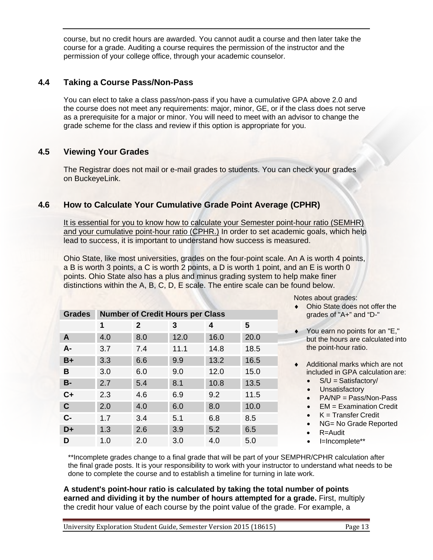course, but no credit hours are awarded. You cannot audit a course and then later take the course for a grade. Auditing a course requires the permission of the instructor and the permission of your college office, through your academic counselor.

# **4.4 Taking a Course Pass/Non-Pass**

You can elect to take a class pass/non-pass if you have a cumulative GPA above 2.0 and the course does not meet any requirements: major, minor, GE, or if the class does not serve as a prerequisite for a major or minor. You will need to meet with an advisor to change the grade scheme for the class and review if this option is appropriate for you.

# **4.5 Viewing Your Grades**

The Registrar does not mail or e-mail grades to students. You can check your grades on BuckeyeLink.

# **4.6 How to Calculate Your Cumulative Grade Point Average (CPHR)**

It is essential for you to know how to calculate your Semester point-hour ratio (SEMHR) and your cumulative point-hour ratio (CPHR.) In order to set academic goals, which help lead to success, it is important to understand how success is measured.

Ohio State, like most universities, grades on the four-point scale. An A is worth 4 points, a B is worth 3 points, a C is worth 2 points, a D is worth 1 point, and an E is worth 0 points. Ohio State also has a plus and minus grading system to help make finer distinctions within the A, B, C, D, E scale. The entire scale can be found below.

| <b>Grades</b> |     | <b>Number of Credit Hours per Class</b> |      |      |      |
|---------------|-----|-----------------------------------------|------|------|------|
|               | 1   | $\mathbf{2}$                            | 3    | 4    | 5    |
| A             | 4.0 | 8.0                                     | 12.0 | 16.0 | 20.0 |
| $A -$         | 3.7 | 7.4                                     | 11.1 | 14.8 | 18.5 |
| $B+$          | 3.3 | 6.6                                     | 9.9  | 13.2 | 16.5 |
| В             | 3.0 | 6.0                                     | 9.0  | 12.0 | 15.0 |
| <b>B-</b>     | 2.7 | 5.4                                     | 8.1  | 10.8 | 13.5 |
| $C+$          | 2.3 | 4.6                                     | 6.9  | 9.2  | 11.5 |
| C             | 2.0 | 4.0                                     | 6.0  | 8.0  | 10.0 |
| $C -$         | 1.7 | 3.4                                     | 5.1  | 6.8  | 8.5  |
| D+            | 1.3 | 2.6                                     | 3.9  | 5.2  | 6.5  |
| D             | 1.0 | 2.0                                     | 3.0  | 4.0  | 5.0  |

Notes about grades:

- ♦ Ohio State does not offer the grades of "A+" and "D-"
- ◆ You earn no points for an "E," but the hours are calculated into the point-hour ratio.
- ♦ Additional marks which are not included in GPA calculation are:
	- S/U = Satisfactory/
	- Unsatisfactory
	- PA/NP = Pass/Non-Pass
	- $EM = Examination Credit$
	- $K =$  Transfer Credit
	- NG= No Grade Reported
	- R=Audit
	- I=Incomplete\*\*

\*\*Incomplete grades change to a final grade that will be part of your SEMPHR/CPHR calculation after the final grade posts. It is your responsibility to work with your instructor to understand what needs to be done to complete the course and to establish a timeline for turning in late work.

### **A student's point-hour ratio is calculated by taking the total number of points earned and dividing it by the number of hours attempted for a grade.** First, multiply the credit hour value of each course by the point value of the grade. For example, a

University Exploration Student Guide, Semester Version 2015 (18615) Page 13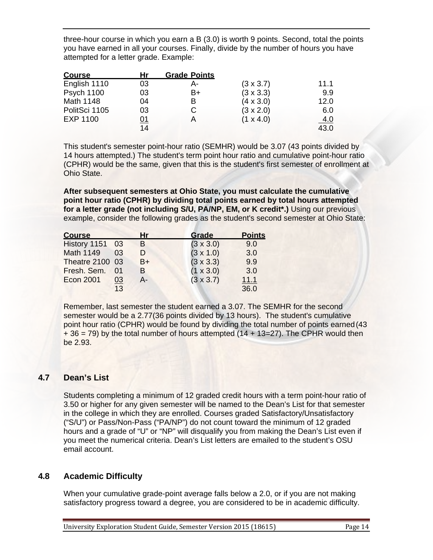three-hour course in which you earn a B (3.0) is worth 9 points. Second, total the points you have earned in all your courses. Finally, divide by the number of hours you have attempted for a letter grade. Example:

| <b>Course</b>     | Нr        | <b>Grade Points</b> |                  |            |
|-------------------|-----------|---------------------|------------------|------------|
| English 1110      | 03        | А-                  | $(3 \times 3.7)$ | 11.1       |
| <b>Psych 1100</b> | 03        | B+                  | $(3 \times 3.3)$ | 9.9        |
| Math 1148         | 04        | в                   | $(4 \times 3.0)$ | 12.0       |
| PolitSci 1105     | 03        | C                   | $(3 \times 2.0)$ | 6.0        |
| <b>EXP 1100</b>   | <u>01</u> |                     | $(1 \times 4.0)$ | <u>4.0</u> |
|                   | 14        |                     |                  | 43.0       |

This student's semester point-hour ratio (SEMHR) would be 3.07 (43 points divided by 14 hours attempted.) The student's term point hour ratio and cumulative point-hour ratio (CPHR) would be the same, given that this is the student's first semester of enrollment at Ohio State.

**After subsequent semesters at Ohio State, you must calculate the cumulative point hour ratio (CPHR) by dividing total points earned by total hours attempted for a letter grade (not including S/U, PA/NP, EM, or K credit\*.)** Using our previous example, consider the following grades as the student's second semester at Ohio State:

| <b>Course</b>          |    | Hr | Grade            | <b>Points</b> |
|------------------------|----|----|------------------|---------------|
| <b>History 1151 03</b> |    | B  | $(3 \times 3.0)$ | 9.0           |
| Math 1149              | 03 | D  | $(3 \times 1.0)$ | 3.0           |
| Theatre 2100 03        |    | B+ | $(3 \times 3.3)$ | 9.9           |
| Fresh. Sem.            | 01 | B  | $(1 \times 3.0)$ | 3.0           |
| <b>Econ 2001</b>       | 03 | A- | $(3 \times 3.7)$ | 11.1          |
|                        | 13 |    |                  | 36.0          |

Remember, last semester the student earned a 3.07. The SEMHR for the second semester would be a 2.77(36 points divided by 13 hours). The student's cumulative point hour ratio (CPHR) would be found by dividing the total number of points earned(43 + 36 = 79) by the total number of hours attempted (14 + 13=27). The CPHR would then be 2.93.

# **4.7 Dean's List**

Students completing a minimum of 12 graded credit hours with a term point-hour ratio of 3.50 or higher for any given semester will be named to the Dean's List for that semester in the college in which they are enrolled. Courses graded Satisfactory/Unsatisfactory ("S/U") or Pass/Non-Pass ("PA/NP") do not count toward the minimum of 12 graded hours and a grade of "U" or "NP" will disqualify you from making the Dean's List even if you meet the numerical criteria. Dean's List letters are emailed to the student's OSU email account.

# **4.8 Academic Difficulty**

When your cumulative grade-point average falls below a 2.0, or if you are not making satisfactory progress toward a degree, you are considered to be in academic difficulty.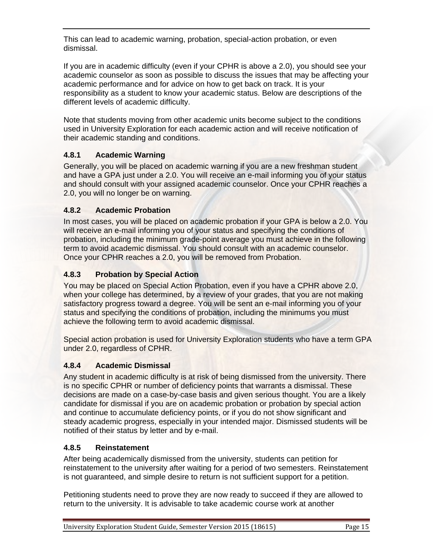This can lead to academic warning, probation, special-action probation, or even dismissal.

If you are in academic difficulty (even if your CPHR is above a 2.0), you should see your academic counselor as soon as possible to discuss the issues that may be affecting your academic performance and for advice on how to get back on track. It is your responsibility as a student to know your academic status. Below are descriptions of the different levels of academic difficulty.

Note that students moving from other academic units become subject to the conditions used in University Exploration for each academic action and will receive notification of their academic standing and conditions.

# **4.8.1 Academic Warning**

Generally, you will be placed on academic warning if you are a new freshman student and have a GPA just under a 2.0. You will receive an e-mail informing you of your status and should consult with your assigned academic counselor. Once your CPHR reaches a 2.0, you will no longer be on warning.

## **4.8.2 Academic Probation**

In most cases, you will be placed on academic probation if your GPA is below a 2.0. You will receive an e-mail informing you of your status and specifying the conditions of probation, including the minimum grade-point average you must achieve in the following term to avoid academic dismissal. You should consult with an academic counselor. Once your CPHR reaches a 2.0, you will be removed from Probation.

## **4.8.3 Probation by Special Action**

You may be placed on Special Action Probation, even if you have a CPHR above 2.0, when your college has determined, by a review of your grades, that you are not making satisfactory progress toward a degree. You will be sent an e-mail informing you of your status and specifying the conditions of probation, including the minimums you must achieve the following term to avoid academic dismissal.

Special action probation is used for University Exploration students who have a term GPA under 2.0, regardless of CPHR.

## **4.8.4 Academic Dismissal**

Any student in academic difficulty is at risk of being dismissed from the university. There is no specific CPHR or number of deficiency points that warrants a dismissal. These decisions are made on a case-by-case basis and given serious thought. You are a likely candidate for dismissal if you are on academic probation or probation by special action and continue to accumulate deficiency points, or if you do not show significant and steady academic progress, especially in your intended major. Dismissed students will be notified of their status by letter and by e-mail.

## **4.8.5 Reinstatement**

After being academically dismissed from the university, students can petition for reinstatement to the university after waiting for a period of two semesters. Reinstatement is not guaranteed, and simple desire to return is not sufficient support for a petition.

Petitioning students need to prove they are now ready to succeed if they are allowed to return to the university. It is advisable to take academic course work at another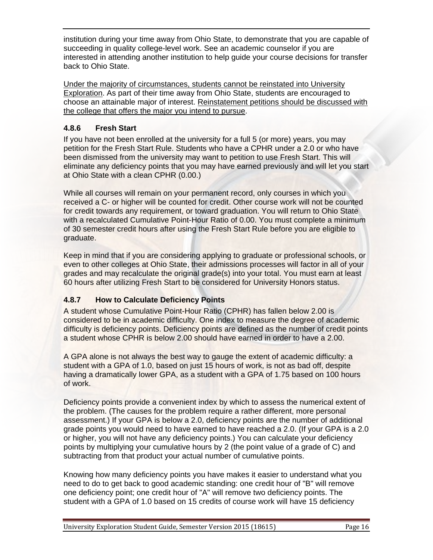institution during your time away from Ohio State, to demonstrate that you are capable of succeeding in quality college-level work. See an academic counselor if you are interested in attending another institution to help guide your course decisions for transfer back to Ohio State.

Under the majority of circumstances, students cannot be reinstated into University Exploration. As part of their time away from Ohio State, students are encouraged to choose an attainable major of interest. Reinstatement petitions should be discussed with the college that offers the major you intend to pursue.

# **4.8.6 Fresh Start**

If you have not been enrolled at the university for a full 5 (or more) years, you may petition for the Fresh Start Rule. Students who have a CPHR under a 2.0 or who have been dismissed from the university may want to petition to use Fresh Start. This will eliminate any deficiency points that you may have earned previously and will let you start at Ohio State with a clean CPHR (0.00.)

While all courses will remain on your permanent record, only courses in which you received a C- or higher will be counted for credit. Other course work will not be counted for credit towards any requirement, or toward graduation. You will return to Ohio State with a recalculated Cumulative Point-Hour Ratio of 0.00. You must complete a minimum of 30 semester credit hours after using the Fresh Start Rule before you are eligible to graduate.

Keep in mind that if you are considering applying to graduate or professional schools, or even to other colleges at Ohio State, their admissions processes will factor in all of your grades and may recalculate the original grade(s) into your total. You must earn at least 60 hours after utilizing Fresh Start to be considered for University Honors status.

# **4.8.7 How to Calculate Deficiency Points**

A student whose Cumulative Point-Hour Ratio (CPHR) has fallen below 2.00 is considered to be in academic difficulty. One index to measure the degree of academic difficulty is deficiency points. Deficiency points are defined as the number of credit points a student whose CPHR is below 2.00 should have earned in order to have a 2.00.

A GPA alone is not always the best way to gauge the extent of academic difficulty: a student with a GPA of 1.0, based on just 15 hours of work, is not as bad off, despite having a dramatically lower GPA, as a student with a GPA of 1.75 based on 100 hours of work.

Deficiency points provide a convenient index by which to assess the numerical extent of the problem. (The causes for the problem require a rather different, more personal assessment.) If your GPA is below a 2.0, deficiency points are the number of additional grade points you would need to have earned to have reached a 2.0. (If your GPA is a 2.0 or higher, you will not have any deficiency points.) You can calculate your deficiency points by multiplying your cumulative hours by 2 (the point value of a grade of C) and subtracting from that product your actual number of cumulative points.

Knowing how many deficiency points you have makes it easier to understand what you need to do to get back to good academic standing: one credit hour of "B" will remove one deficiency point; one credit hour of "A" will remove two deficiency points. The student with a GPA of 1.0 based on 15 credits of course work will have 15 deficiency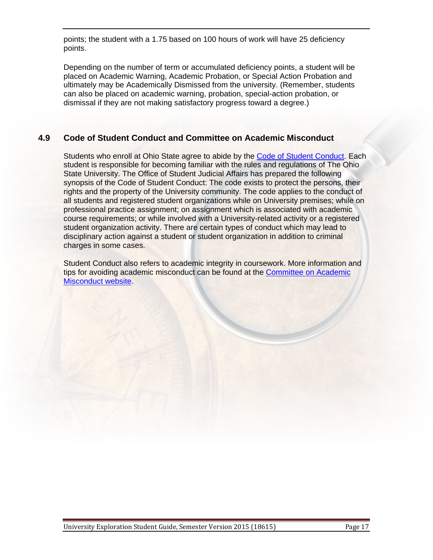points; the student with a 1.75 based on 100 hours of work will have 25 deficiency points.

Depending on the number of term or accumulated deficiency points, a student will be placed on Academic Warning, Academic Probation, or Special Action Probation and ultimately may be Academically Dismissed from the university. (Remember, students can also be placed on academic warning, probation, special-action probation, or dismissal if they are not making satisfactory progress toward a degree.)

# **4.9 Code of Student Conduct and Committee on Academic Misconduct**

Students who enroll at Ohio State agree to abide by the [Code of Student Conduct.](http://studentaffairs.osu.edu/pdfs/csc_12-31-07.pdf) Each student is responsible for becoming familiar with the rules and regulations of The Ohio State University. The Office of Student Judicial Affairs has prepared the following synopsis of the Code of Student Conduct: The code exists to protect the persons, their rights and the property of the University community. The code applies to the conduct of all students and registered student organizations while on University premises; while on professional practice assignment; on assignment which is associated with academic course requirements; or while involved with a University-related activity or a registered student organization activity. There are certain types of conduct which may lead to disciplinary action against a student or student organization in addition to criminal charges in some cases.

Student Conduct also refers to academic integrity in coursework. More information and tips for avoiding academic misconduct can be found at the [Committee on Academic](http://oaa.osu.edu/coam.html) [Misconduct website.](http://oaa.osu.edu/coam.html)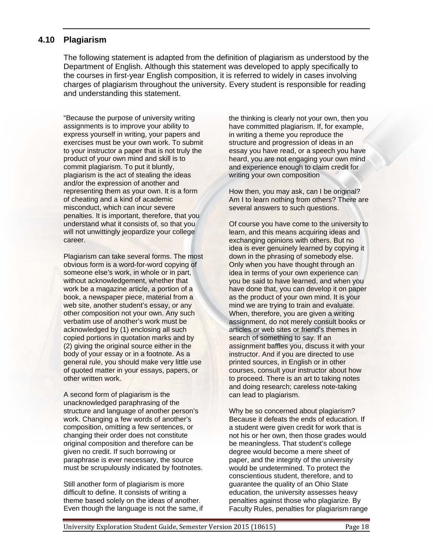## **4.10 Plagiarism**

The following statement is adapted from the definition of plagiarism as understood by the Department of English. Although this statement was developed to apply specifically to the courses in first-year English composition, it is referred to widely in cases involving charges of plagiarism throughout the university. Every student is responsible for reading and understanding this statement.

"Because the purpose of university writing assignments is to improve your ability to express yourself in writing, your papers and exercises must be your own work. To submit to your instructor a paper that is not truly the product of your own mind and skill is to commit plagiarism. To put it bluntly, plagiarism is the act of stealing the ideas and/or the expression of another and representing them as your own. It is a form of cheating and a kind of academic misconduct, which can incur severe penalties. It is important, therefore, that you understand what it consists of, so that you will not unwittingly jeopardize your college career.

Plagiarism can take several forms. The most obvious form is a word-for-word copying of someone else's work, in whole or in part, without acknowledgement, whether that work be a magazine article, a portion of a book, a newspaper piece, material from a web site, another student's essay, or any other composition not your own. Any such verbatim use of another's work must be acknowledged by (1) enclosing all such copied portions in quotation marks and by (2) giving the original source either in the body of your essay or in a footnote. As a general rule, you should make very little use of quoted matter in your essays, papers, or other written work.

A second form of plagiarism is the unacknowledged paraphrasing of the structure and language of another person's work. Changing a few words of another's composition, omitting a few sentences, or changing their order does not constitute original composition and therefore can be given no credit. If such borrowing or paraphrase is ever necessary, the source must be scrupulously indicated by footnotes.

Still another form of plagiarism is more difficult to define. It consists of writing a theme based solely on the ideas of another. Even though the language is not the same, if

the thinking is clearly not your own, then you have committed plagiarism. If, for example, in writing a theme you reproduce the structure and progression of ideas in an essay you have read, or a speech you have heard, you are not engaging your own mind and experience enough to claim credit for writing your own composition

How then, you may ask, can I be original? Am I to learn nothing from others? There are several answers to such questions.

Of course you have come to the university to learn, and this means acquiring ideas and exchanging opinions with others. But no idea is ever genuinely learned by copying it down in the phrasing of somebody else. Only when you have thought through an idea in terms of your own experience can you be said to have learned, and when you have done that, you can develop it on paper as the product of your own mind. It is your mind we are trying to train and evaluate. When, therefore, you are given a writing assignment, do not merely consult books or articles or web sites or friend's themes in search of something to say. If an assignment baffles you, discuss it with your instructor. And if you are directed to use printed sources, in English or in other courses, consult your instructor about how to proceed. There is an art to taking notes and doing research; careless note-taking can lead to plagiarism.

Why be so concerned about plagiarism? Because it defeats the ends of education. If a student were given credit for work that is not his or her own, then those grades would be meaningless. That student's college degree would become a mere sheet of paper, and the integrity of the university would be undetermined. To protect the conscientious student, therefore, and to guarantee the quality of an Ohio State education, the university assesses heavy penalties against those who plagiarize. By Faculty Rules, penalties for plagiarism range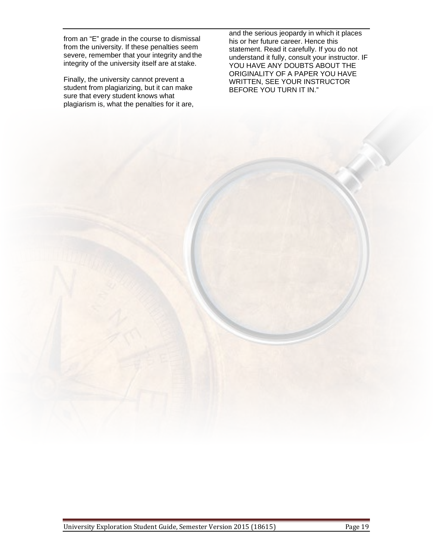from an "E" grade in the course to dismissal from the university. If these penalties seem severe, remember that your integrity and the integrity of the university itself are at stake.

Finally, the university cannot prevent a student from plagiarizing, but it can make sure that every student knows what plagiarism is, what the penalties for it are,

and the serious jeopardy in which it places his or her future career. Hence this statement. Read it carefully. If you do not understand it fully, consult your instructor. IF YOU HAVE ANY DOUBTS ABOUT THE ORIGINALITY OF A PAPER YOU HAVE WRITTEN, SEE YOUR INSTRUCTOR BEFORE YOU TURN IT IN."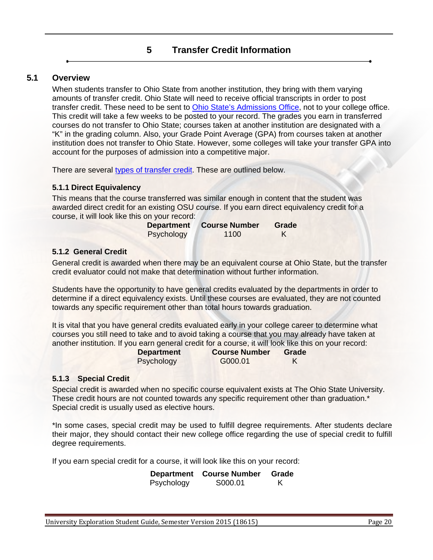# **5 Transfer Credit Information**

## **5.1 Overview**

When students transfer to Ohio State from another institution, they bring with them varying amounts of transfer credit. Ohio State will need to receive official transcripts in order to post transfer credit. These need to be sent to [Ohio State's Admissions Office,](http://undergrad.osu.edu/) not to your college office. This credit will take a few weeks to be posted to your record. The grades you earn in transferred courses do not transfer to Ohio State; courses taken at another institution are designated with a "K" in the grading column. Also, your Grade Point Average (GPA) from courses taken at another institution does not transfer to Ohio State. However, some colleges will take your transfer GPA into account for the purposes of admission into a competitive major.

There are several [types of transfer credit.](http://registrar.osu.edu/transfer_credit/index.asp) These are outlined below.

## **5.1.1 Direct Equivalency**

This means that the course transferred was similar enough in content that the student was awarded direct credit for an existing OSU course. If you earn direct equivalency credit for a course, it will look like this on your record:

| <b>Department</b> | <b>Course Number</b> | Grade |
|-------------------|----------------------|-------|
| Psychology        | 1100                 | K     |

## **5.1.2 General Credit**

General credit is awarded when there may be an equivalent course at Ohio State, but the transfer credit evaluator could not make that determination without further information.

Students have the opportunity to have general credits evaluated by the departments in order to determine if a direct equivalency exists. Until these courses are evaluated, they are not counted towards any specific requirement other than total hours towards graduation.

It is vital that you have general credits evaluated early in your college career to determine what courses you still need to take and to avoid taking a course that you may already have taken at another institution. If you earn general credit for a course, it will look like this on your record:

| <b>Department</b> | <b>Course Number</b> | Grade |
|-------------------|----------------------|-------|
| Psychology        | G000.01              |       |

#### **5.1.3 Special Credit**

Special credit is awarded when no specific course equivalent exists at The Ohio State University. These credit hours are not counted towards any specific requirement other than graduation.\* Special credit is usually used as elective hours.

\*In some cases, special credit may be used to fulfill degree requirements. After students declare their major, they should contact their new college office regarding the use of special credit to fulfill degree requirements.

If you earn special credit for a course, it will look like this on your record:

| <b>Department</b> | <b>Course Number</b> | Grade |
|-------------------|----------------------|-------|
| Psychology        | S000.01              | Κ     |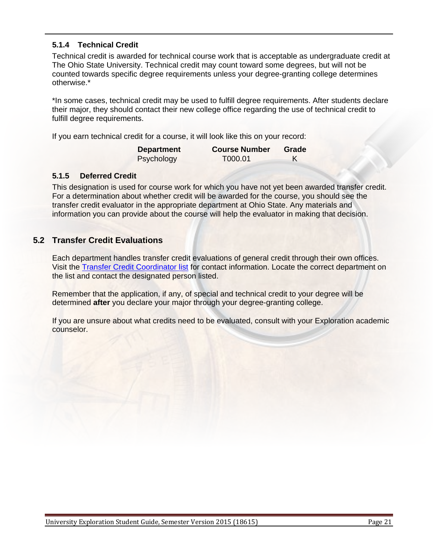## **5.1.4 Technical Credit**

Technical credit is awarded for technical course work that is acceptable as undergraduate credit at The Ohio State University. Technical credit may count toward some degrees, but will not be counted towards specific degree requirements unless your degree-granting college determines otherwise.\*

\*In some cases, technical credit may be used to fulfill degree requirements. After students declare their major, they should contact their new college office regarding the use of technical credit to fulfill degree requirements.

If you earn technical credit for a course, it will look like this on your record:

| <b>Department</b> | <b>Course Number</b> | Grade |
|-------------------|----------------------|-------|
| Psychology        | T000.01              |       |

### **5.1.5 Deferred Credit**

This designation is used for course work for which you have not yet been awarded transfer credit. For a determination about whether credit will be awarded for the course, you should see the transfer credit evaluator in the appropriate department at Ohio State. Any materials and information you can provide about the course will help the evaluator in making that decision.

## **5.2 Transfer Credit Evaluations**

Each department handles transfer credit evaluations of general credit through their own offices. Visit the [Transfer Credit Coordinator list](http://registrar.osu.edu/transfer_credit/tcc_list.asp) for contact information. Locate the correct department on the list and contact the designated person listed.

Remember that the application, if any, of special and technical credit to your degree will be determined **after** you declare your major through your degree-granting college.

If you are unsure about what credits need to be evaluated, consult with your Exploration academic counselor.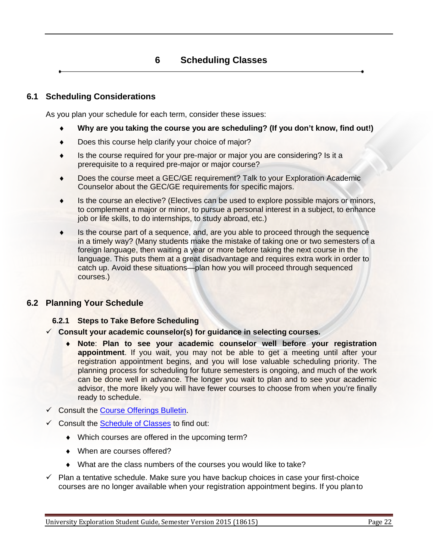# **6.1 Scheduling Considerations**

As you plan your schedule for each term, consider these issues:

- ♦ **Why are you taking the course you are scheduling? (If you don't know, find out!)**
- Does this course help clarify your choice of major?
- ♦ Is the course required for your pre-major or major you are considering? Is it a prerequisite to a required pre-major or major course?
- Does the course meet a GEC/GE requirement? Talk to your Exploration Academic Counselor about the GEC/GE requirements for specific majors.
- Is the course an elective? (Electives can be used to explore possible majors or minors, to complement a major or minor, to pursue a personal interest in a subject, to enhance job or life skills, to do internships, to study abroad, etc.)
- Is the course part of a sequence, and, are you able to proceed through the sequence in a timely way? (Many students make the mistake of taking one or two semesters of a foreign language, then waiting a year or more before taking the next course in the language. This puts them at a great disadvantage and requires extra work in order to catch up. Avoid these situations—plan how you will proceed through sequenced courses.)

## **6.2 Planning Your Schedule**

#### **6.2.1 Steps to Take Before Scheduling**

- **Consult your academic counselor(s) for guidance in selecting courses.**
	- ♦ **Note**: **Plan to see your academic counselor well before your registration appointment**. If you wait, you may not be able to get a meeting until after your registration appointment begins, and you will lose valuable scheduling priority. The planning process for scheduling for future semesters is ongoing, and much of the work can be done well in advance. The longer you wait to plan and to see your academic advisor, the more likely you will have fewer courses to choose from when you're finally ready to schedule.
- Consult the [Course Offerings](http://buckeyelink.osu.edu/) Bulletin.
- ← Consult the **[Schedule of Classes](http://buckeyelink.osu.edu/)** to find out:
	- ♦ Which courses are offered in the upcoming term?
	- ♦ When are courses offered?
	- ♦ What are the class numbers of the courses you would like to take?
- $\checkmark$  Plan a tentative schedule. Make sure you have backup choices in case your first-choice courses are no longer available when your registration appointment begins. If you planto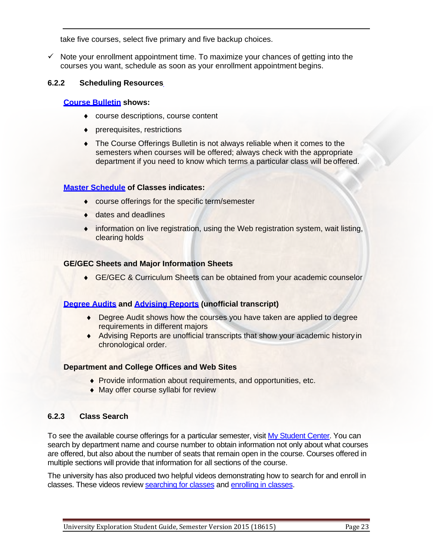take five courses, select five primary and five backup choices.

 $\checkmark$  Note your enrollment appointment time. To maximize your chances of getting into the courses you want, schedule [as soon as your enrollment appointment](http://buckeyelink.osu.edu/) begins.

## **6.2.2 Scheduling Resources**

## **[Course Bulletin](http://buckeyelink.osu.edu/) shows:**

- ♦ course descriptions, course content
- prerequisites, restrictions
- The Course Offerings Bulletin is not always reliable when it comes to the semesters when courses will be offered; always check with the appropriate department if you need to know which terms a particular class will beoffered.

## **[Master Schedule](http://buckeyelink.osu.edu/) of Classes indicates:**

- ♦ course offerings for the specific term/semester
- ♦ dates and deadlines
- information on live registration, using the Web registration system, wait listing, clearing holds

## **GE/GEC Sheets and Major Information Sheets**

◆ GE/GEC & Curriculum Sheets can be obtained from your academic counselor

# **Degree Audits and [Advising Reports](http://buckeyelink.osu.edu/) (unofficial transcript)**

- ♦ Degree Audit shows how the courses you have taken are applied to degree requirements in different majors
- ♦ Advising Reports are unofficial transcripts that show your academic historyin chronological order.

## **Department and College Offices and Web Sites**

- ♦ Provide information about requirements, and opportunities, etc.
- ♦ May offer course syllabi for review

# **6.2.3 Class Search**

To see the available course offerings for a particular semester, visit [My Student Center.](http://buckeyelink.osu.edu/) You can search by department name and course number to obtain information not only about what courses are offered, but also about the number of seats that remain open in the course. Courses offered in multiple sections will provide that information for all sections of the course.

The university has also produced two helpful videos demonstrating how to search for and enroll in classes. These videos review [searching for classes](http://screenr.com/xZp) and [enrolling in classes.](http://screenr.com/Scp)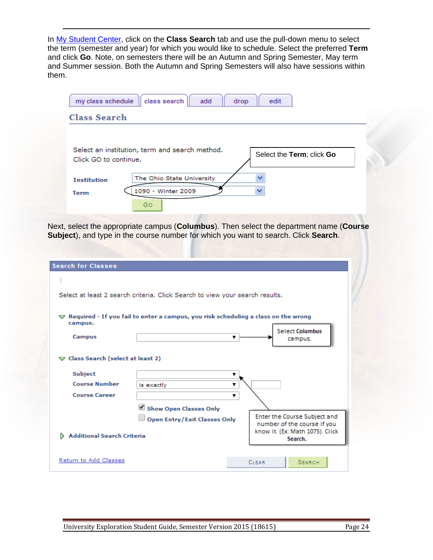In My [Student Center,](http://buckeyelink.osu.edu/) click on the **Class Search** tab and use the pull-down menu to select the term (semester and year) for which you would like to schedule. Select the preferred **Term**  and click **Go**. Note, on semesters there will be an Autumn and Spring Semester, May term and Summer session. Both the Autumn and Spring Semesters will also have sessions within them.

| my class schedule<br>class search<br>add<br>edit<br>drop                                             |  |
|------------------------------------------------------------------------------------------------------|--|
| <b>Class Search</b>                                                                                  |  |
| Select an institution, term and search method.<br>Select the Term; click Go<br>Click GO to continue. |  |
| $\checkmark$<br>The Ohio State University<br><b>Institution</b>                                      |  |
| 1090 - Winter 2009<br>v<br><b>Term</b>                                                               |  |
| Go                                                                                                   |  |

Next, select the appropriate campus (**Columbus**). Then select the department name (**Course Subject**), and type in the course number for which you want to search. Click **Search**.

| <b>Search for Classes</b>          |                                                                                                         |                                                             |
|------------------------------------|---------------------------------------------------------------------------------------------------------|-------------------------------------------------------------|
|                                    |                                                                                                         |                                                             |
|                                    | Select at least 2 search criteria. Click Search to view your search results.                            |                                                             |
| campus.<br><b>Campus</b>           | $\triangledown$ Required - If you fail to enter a campus, you risk scheduling a class on the wrong<br>▼ | <b>Select Columbus</b><br>campus.                           |
| ▽ Class Search (select at least 2) |                                                                                                         |                                                             |
| <b>Subject</b>                     | ▼                                                                                                       |                                                             |
| <b>Course Number</b>               | is exactly                                                                                              |                                                             |
| <b>Course Career</b>               | ▼                                                                                                       |                                                             |
|                                    | Show Open Classes Only                                                                                  |                                                             |
|                                    | <b>Open Entry/Exit Classes Only</b>                                                                     | Enter the Course Subject and<br>number of the course if you |
| <b>Additional Search Criteria</b>  |                                                                                                         | know it. (Ex: Math 1075). Click<br>Search.                  |
| Return to Add Classes              |                                                                                                         | CLEAR<br><b>SEARCH</b>                                      |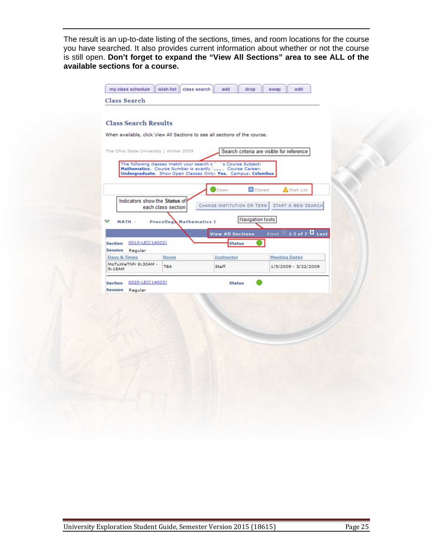The result is an up-to-date listing of the sections, times, and room locations for the course you have searched. It also provides current information about whether or not the course is still open. **Don't forget to expand the "View All Sections" area to see ALL of the available sections for a course.**

| <b>Class Search Results</b><br>When available, click View All Sections to see all sections of the course.<br>Search criteria are visible for reference<br>The Ohio State University   Winter 2009<br>The following classes match your search c " "> Course Subject:<br>Mathematics, Course Number is exactly ', Course Career:<br>Undergraduate, Show Open Classes Only: Yes, Campus: Columbus<br>Closed<br>Wait List<br>Open<br>Indicators show the Status of<br>CHANGE INSTITUTION OR TERM<br><b>START A NEW SEARCH</b><br>each class section |  |  |  |
|-------------------------------------------------------------------------------------------------------------------------------------------------------------------------------------------------------------------------------------------------------------------------------------------------------------------------------------------------------------------------------------------------------------------------------------------------------------------------------------------------------------------------------------------------|--|--|--|
|                                                                                                                                                                                                                                                                                                                                                                                                                                                                                                                                                 |  |  |  |
|                                                                                                                                                                                                                                                                                                                                                                                                                                                                                                                                                 |  |  |  |
|                                                                                                                                                                                                                                                                                                                                                                                                                                                                                                                                                 |  |  |  |
|                                                                                                                                                                                                                                                                                                                                                                                                                                                                                                                                                 |  |  |  |
|                                                                                                                                                                                                                                                                                                                                                                                                                                                                                                                                                 |  |  |  |
|                                                                                                                                                                                                                                                                                                                                                                                                                                                                                                                                                 |  |  |  |
|                                                                                                                                                                                                                                                                                                                                                                                                                                                                                                                                                 |  |  |  |
| Navigation tools<br>Precollege Mathematics I<br>▽<br><b>MATH</b>                                                                                                                                                                                                                                                                                                                                                                                                                                                                                |  |  |  |
| First $1-3$ of 7 $\blacksquare$ Last<br><b>View All Sections</b>                                                                                                                                                                                                                                                                                                                                                                                                                                                                                |  |  |  |
| 0010-LEC(14002)<br><b>Status</b><br><b>Section</b><br>Session Regular                                                                                                                                                                                                                                                                                                                                                                                                                                                                           |  |  |  |
| Instructor<br><b>Meeting Dates</b><br><b>Days &amp; Times</b><br>Room                                                                                                                                                                                                                                                                                                                                                                                                                                                                           |  |  |  |
| MoTuWeThFr 8:30AM -<br>Staff<br><b>TBA</b><br>$1/5/2009 - 3/22/2009$<br>9:18AM                                                                                                                                                                                                                                                                                                                                                                                                                                                                  |  |  |  |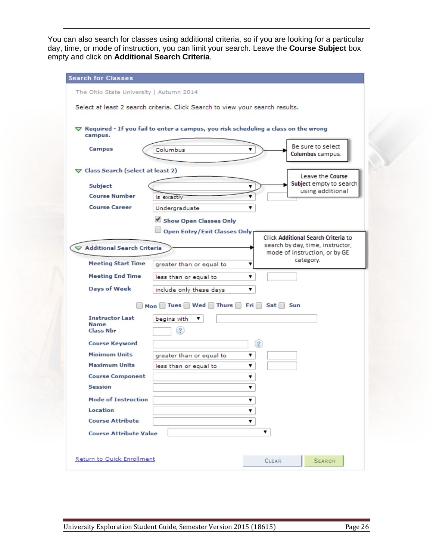You can also search for classes using additional criteria, so if you are looking for a particular day, time, or mode of instruction, you can limit your search. Leave the **Course Subject** box empty and click on **Additional Search Criteria**.

| <b>Search for Classes</b>                                 |                                                                                                      |
|-----------------------------------------------------------|------------------------------------------------------------------------------------------------------|
| The Ohio State University   Autumn 2014                   |                                                                                                      |
|                                                           | Select at least 2 search criteria. Click Search to view your search results.                         |
| campus.                                                   | $\triangledown$ Required - If you fail to enter a campus, you risk scheduling a class on the wrong   |
| <b>Campus</b>                                             | Be sure to select<br>Columbus<br>▼<br>Columbus campus.                                               |
| <b>▽</b> Class Search (select at least 2)                 | Leave the Course                                                                                     |
| Subject<br><b>Course Number</b>                           | Subject empty to search<br>▼<br>using additional<br>is exactly<br>۷.                                 |
| <b>Course Career</b>                                      | Undergraduate<br>7                                                                                   |
|                                                           | Show Open Classes Only<br><b>Open Entry/Exit Classes Only</b><br>Click Additional Search Criteria to |
| Additional Search Criteria                                | search by day, time, instructor,<br>mode of instruction, or by GE                                    |
| <b>Meeting Start Time</b>                                 | category.<br>greater than or equal to<br>▼                                                           |
| <b>Meeting End Time</b>                                   | less than or equal to<br>▼                                                                           |
| <b>Days of Week</b>                                       | include only these days<br>▼                                                                         |
|                                                           | Mon Tues Wed Thurs Fri<br>Sat Sun                                                                    |
| <b>Instructor Last</b><br><b>Name</b><br><b>Class Nbr</b> | begins with<br>▼<br>3                                                                                |
| <b>Course Keyword</b>                                     | $\rm _{(2)}$                                                                                         |
| <b>Minimum Units</b>                                      | greater than or equal to<br>▼                                                                        |
| <b>Maximum Units</b>                                      | less than or equal to<br>▼                                                                           |
| <b>Course Component</b>                                   | ▼                                                                                                    |
| <b>Session</b>                                            | 7                                                                                                    |
| <b>Mode of Instruction</b>                                | ▼                                                                                                    |
| <b>Location</b>                                           | 7                                                                                                    |
| <b>Course Attribute</b>                                   | ▼                                                                                                    |
| <b>Course Attribute Value</b>                             | ▼                                                                                                    |
| <b>Return to Quick Enrollment</b>                         | <b>SEARCH</b><br>CLEAR                                                                               |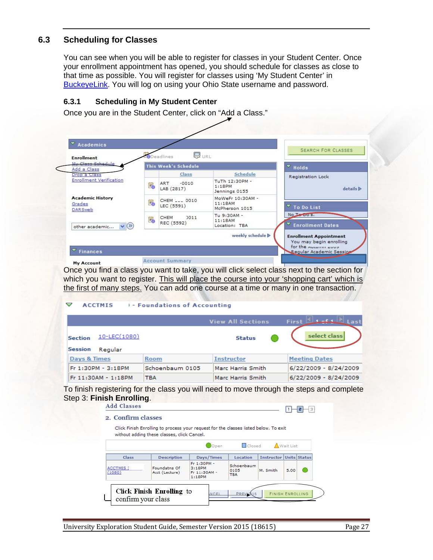# **6.3 Scheduling for Classes**

You can see when you will be able to register for classes in your Student Center. Once your enrollment appointment has opened, you should schedule for classes as close to that time as possible. You will register for classes using 'My Student Center' in BuckeyeLink. You will log on using your Ohio State username and password.

## **6.3.1 Scheduling in My Student Center**

Once you are in the Student Center, click on "Add a Class."

| <b>Enrollment</b>                                   |                 | <b>Q</b> URL<br><b>Deadlines</b>    |                                               | <b>SEARCH FOR CLASSES</b>                                                                   |
|-----------------------------------------------------|-----------------|-------------------------------------|-----------------------------------------------|---------------------------------------------------------------------------------------------|
| My Class Schedule<br>Add a Class                    |                 | This Week's Schedule                |                                               | $\overline{\phantom{a}}$ Holds                                                              |
| Drop a Class                                        |                 | Class                               | Schedule                                      | Registration Lock                                                                           |
| <b>Enrollment Verification</b>                      | Ëò              | <b>ART</b><br>$-0010$<br>LAB (2817) | TuTh 12:30PM -<br>1:18PM<br>Jennings 0155     | details D                                                                                   |
| <b>Academic History</b><br>Grades<br><b>DARSweb</b> | E.              | CHEM  0010<br>LEC (5591)            | MoWeFr 10:30AM -<br>11:18AM<br>McPherson 1015 | To Do List                                                                                  |
| $\vee$ $(\rangle)$<br>other academic                | Bb <sup>1</sup> | 3011<br>CHEM<br>REC (5592)          | Tu 9:30AM -<br>11:18AM<br>Location: TBA       | No I Dos.<br><b>Enrollment Dates</b>                                                        |
|                                                     |                 |                                     | weekly schedule >                             | <b>Enrollment Appointment</b><br>You may begin enrolling<br>for the nuturity zous           |
| <b>Finances</b>                                     |                 |                                     |                                               | Regular Academic Session                                                                    |
| <b>My Account</b>                                   |                 | <b>Account Summary</b>              |                                               |                                                                                             |
|                                                     |                 |                                     |                                               | Once you find a class you want to take, you will click select class next to the section for |
|                                                     |                 |                                     |                                               | which you want to register. This will place the course into your 'shopping cart' which is   |

|                                                                 |                 | <b>View All Sections</b> | $1 - 5 - 1$<br><b>First</b><br>Last |
|-----------------------------------------------------------------|-----------------|--------------------------|-------------------------------------|
| $10 - LEC(1080)$<br><b>Section</b><br><b>Session</b><br>Regular |                 | <b>Status</b>            | select class                        |
|                                                                 |                 |                          |                                     |
| <b>Days &amp; Times</b>                                         | <b>Room</b>     | <b>Instructor</b>        | <b>Meeting Dates</b>                |
| Fr 1:30PM - 3:18PM                                              | Schoenbaum 0105 | Marc Harris Smith        | 6/22/2009 - 8/24/2009               |
| Fr 11:30AM - 1:18PM                                             | <b>TBA</b>      | Marc Harris Smith        | 6/22/2009 - 8/24/2009               |

To finish registering for the class you will need to move through the steps and complete Step 3: **Finish Enrolling**. $\overline{a}$ 

|                            | without adding these classes, click Cancel. | Open                                            | Closed                           |          | Wait List                      |
|----------------------------|---------------------------------------------|-------------------------------------------------|----------------------------------|----------|--------------------------------|
|                            |                                             |                                                 |                                  |          |                                |
| Class                      | <b>Description</b>                          | Days/Times                                      | Location                         |          | <b>Instructor Units Status</b> |
| <b>ACCTMIS 3</b><br>(1080) | Foundatns Of<br>Acct (Lecture)              | Fr 1:30PM -<br>3:18PM<br>Fr 11:30AM -<br>1:18PM | Schoenbaum<br>0105<br><b>TBA</b> | M. Smith | 5.00                           |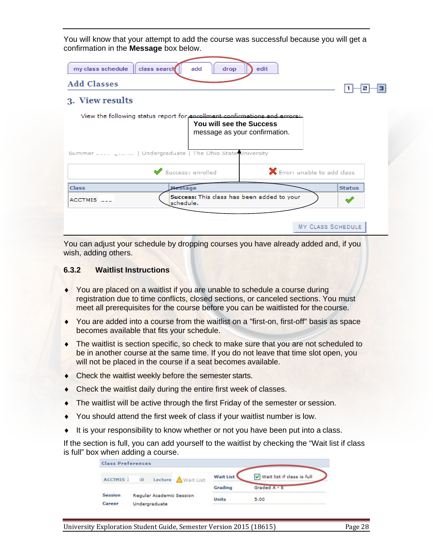You will know that your attempt to add the course was successful because you will get a confirmation in the **Message** box below.

| my class schedule<br>class search                                                                                                           | add<br>drop                                                        | edit                          |                                                  |               |  |
|---------------------------------------------------------------------------------------------------------------------------------------------|--------------------------------------------------------------------|-------------------------------|--------------------------------------------------|---------------|--|
| <b>Add Classes</b>                                                                                                                          |                                                                    |                               |                                                  | Е             |  |
| 3. View results                                                                                                                             |                                                                    |                               |                                                  |               |  |
| View the following status report for enrollment confirmations and errors:<br>Summer ____ ______   Undergraduate   The Ohio State University | You will see the Success<br>Success: enrolled                      | message as your confirmation. | $\mathsf{\mathsf{X}}$ Error: unable to add class |               |  |
|                                                                                                                                             |                                                                    |                               |                                                  |               |  |
| <b>Class</b><br><b>ACCTMIS</b>                                                                                                              | Message<br>Success: This class has been added to your<br>schedule. |                               |                                                  | <b>Status</b> |  |
|                                                                                                                                             |                                                                    |                               | <b>MY CLASS SCHEDULE</b>                         |               |  |

You can adjust your schedule by dropping courses you have already added and, if you wish, adding others.

### **6.3.2 Waitlist Instructions**

- ♦ You are placed on a waitlist if you are unable to schedule a course during registration due to time conflicts, closed sections, or canceled sections. You must meet all prerequisites for the course before you can be waitlisted for the course.
- ♦ You are added into a course from the waitlist on a "first-on, first-off" basis as space becomes available that fits your schedule.
- ♦ The waitlist is section specific, so check to make sure that you are not scheduled to be in another course at the same time. If you do not leave that time slot open, you will not be placed in the course if a seat becomes available.
- ♦ Check the waitlist weekly before the semester starts.
- ♦ Check the waitlist daily during the entire first week of classes.
- ♦ The waitlist will be active through the first Friday of the semester or session.
- ♦ You should attend the first week of class if your waitlist number is low.
- ♦ It is your responsibility to know whether or not you have been put into a class.

If the section is full, you can add yourself to the waitlist by checking the "Wait list if class is full" box when adding a course.

| <b>Class Preferences</b> |                          |                   |              |                              |
|--------------------------|--------------------------|-------------------|--------------|------------------------------|
| <b>ACCTMIS:</b>          | LO                       | Lecture Wait List | Wait List    | V Wait list if class is full |
|                          |                          |                   | Grading      | Graded A - E                 |
| <b>Session</b>           | Regular Academic Session |                   | <b>Units</b> | 5.00                         |
| Career                   | Undergraduate            |                   |              |                              |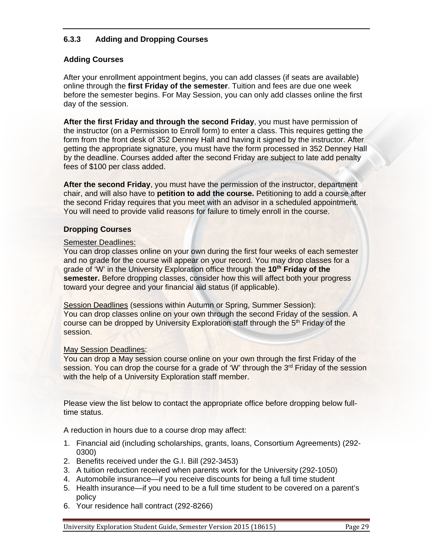# **6.3.3 Adding and Dropping Courses**

## **Adding Courses**

After your enrollment appointment begins, you can add classes (if seats are available) online through the **first Friday of the semester**. Tuition and fees are due one week before the semester begins. For May Session, you can only add classes online the first day of the session.

**After the first Friday and through the second Friday**, you must have permission of the instructor (on a Permission to Enroll form) to enter a class. This requires getting the form from the front desk of 352 Denney Hall and having it signed by the instructor. After getting the appropriate signature, you must have the form processed in 352 Denney Hall by the deadline. Courses added after the second Friday are subject to late add penalty fees of \$100 per class added.

**After the second Friday**, you must have the permission of the instructor, department chair, and will also have to **petition to add the course.** Petitioning to add a course after the second Friday requires that you meet with an advisor in a scheduled appointment. You will need to provide valid reasons for failure to timely enroll in the course.

### **Dropping Courses**

## **Semester Deadlines:**

You can drop classes online on your own during the first four weeks of each semester and no grade for the course will appear on your record. You may drop classes for a grade of 'W' in the University Exploration office through the **10th Friday of the semester.** Before dropping classes, consider how this will affect both your progress toward your degree and your financial aid status (if applicable).

Session Deadlines (sessions within Autumn or Spring, Summer Session): You can drop classes online on your own through the second Friday of the session. A course can be dropped by University Exploration staff through the  $5<sup>th</sup>$  Friday of the session.

#### May Session Deadlines:

You can drop a May session course online on your own through the first Friday of the session. You can drop the course for a grade of 'W' through the 3<sup>rd</sup> Friday of the session with the help of a University Exploration staff member.

Please view the list below to contact the appropriate office before dropping below fulltime status.

A reduction in hours due to a course drop may affect:

- 1. Financial aid (including scholarships, grants, loans, Consortium Agreements) (292- 0300)
- 2. Benefits received under the G.I. Bill (292-3453)
- 3. A tuition reduction received when parents work for the University (292-1050)
- 4. Automobile insurance—if you receive discounts for being a full time student
- 5. Health insurance—if you need to be a full time student to be covered on a parent's policy
- 6. Your residence hall contract (292-8266)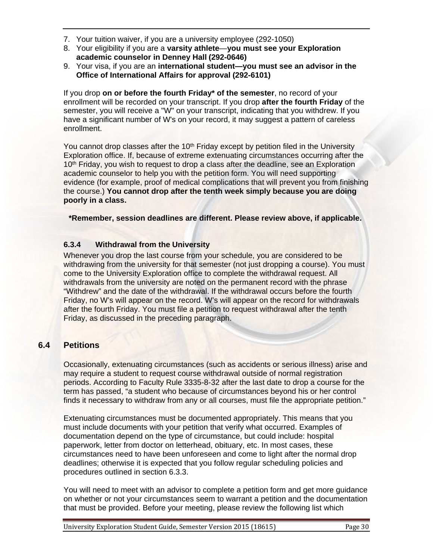- 7. Your tuition waiver, if you are a university employee (292-1050)
- 8. Your eligibility if you are a **varsity athlete**—**you must see your Exploration academic counselor in Denney Hall (292-0646)**
- 9. Your visa, if you are an **international student—you must see an advisor in the Office of International Affairs for approval (292-6101)**

If you drop **on or before the fourth Friday\* of the semester**, no record of your enrollment will be recorded on your transcript. If you drop **after the fourth Friday** of the semester, you will receive a "W" on your transcript, indicating that you withdrew. If you have a significant number of W's on your record, it may suggest a pattern of careless enrollment.

You cannot drop classes after the 10<sup>th</sup> Friday except by petition filed in the University Exploration office. If, because of extreme extenuating circumstances occurring after the 10<sup>th</sup> Friday, you wish to request to drop a class after the deadline, see an Exploration academic counselor to help you with the petition form. You will need supporting evidence (for example, proof of medical complications that will prevent you from finishing the course.) **You cannot drop after the tenth week simply because you are doing poorly in a class.**

**\*Remember, session deadlines are different. Please review above, if applicable.**

## **6.3.4 Withdrawal from the University**

Whenever you drop the last course from your schedule, you are considered to be withdrawing from the university for that semester (not just dropping a course). You must come to the University Exploration office to complete the withdrawal request. All withdrawals from the university are noted on the permanent record with the phrase "Withdrew" and the date of the withdrawal. If the withdrawal occurs before the fourth Friday, no W's will appear on the record. W's will appear on the record for withdrawals after the fourth Friday. You must file a petition to request withdrawal after the tenth Friday, as discussed in the preceding paragraph.

# **6.4 Petitions**

Occasionally, extenuating circumstances (such as accidents or serious illness) arise and may require a student to request course withdrawal outside of normal registration periods. According to Faculty Rule 3335-8-32 after the last date to drop a course for the term has passed, "a student who because of circumstances beyond his or her control finds it necessary to withdraw from any or all courses, must file the appropriate petition."

Extenuating circumstances must be documented appropriately. This means that you must include documents with your petition that verify what occurred. Examples of documentation depend on the type of circumstance, but could include: hospital paperwork, letter from doctor on letterhead, obituary, etc. In most cases, these circumstances need to have been unforeseen and come to light after the normal drop deadlines; otherwise it is expected that you follow regular scheduling policies and procedures outlined in section 6.3.3.

You will need to meet with an advisor to complete a petition form and get more guidance on whether or not your circumstances seem to warrant a petition and the documentation that must be provided. Before your meeting, please review the following list which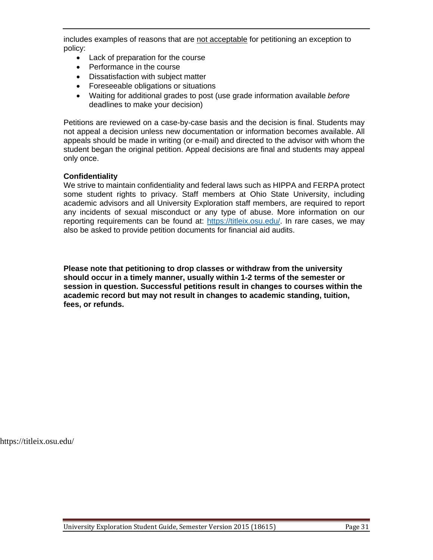includes examples of reasons that are not acceptable for petitioning an exception to policy:

- Lack of preparation for the course
- Performance in the course
- Dissatisfaction with subject matter
- Foreseeable obligations or situations
- Waiting for additional grades to post (use grade information available *before* deadlines to make your decision)

Petitions are reviewed on a case-by-case basis and the decision is final. Students may not appeal a decision unless new documentation or information becomes available. All appeals should be made in writing (or e-mail) and directed to the advisor with whom the student began the original petition. Appeal decisions are final and students may appeal only once.

### **Confidentiality**

We strive to maintain confidentiality and federal laws such as HIPPA and FERPA protect some student rights to privacy. Staff members at Ohio State University, including academic advisors and all University Exploration staff members, are required to report any incidents of sexual misconduct or any type of abuse. More information on our reporting requirements can be found at: [https://titleix.osu.edu/.](https://titleix.osu.edu/) In rare cases, we may also be asked to provide petition documents for financial aid audits.

**Please note that petitioning to drop classes or withdraw from the university should occur in a timely manner, usually within 1-2 terms of the semester or session in question. Successful petitions result in changes to courses within the academic record but may not result in changes to academic standing, tuition, fees, or refunds.**

https://titleix.osu.edu/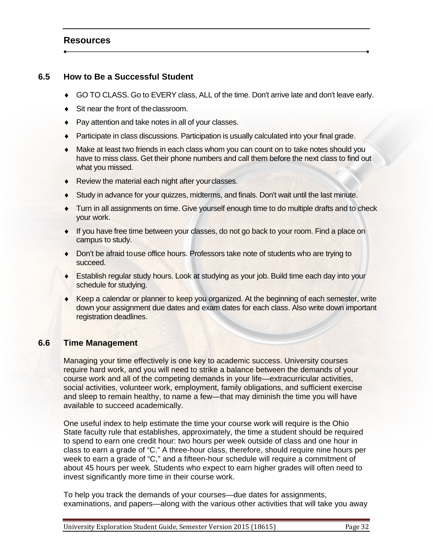## **Resources**

## **6.5 How to Be a Successful Student**

- ♦ GO TO CLASS. Go to EVERY class, ALL of the time. Don't arrive late and don't leave early.
- ♦ Sit near the front of theclassroom.
- ♦ Pay attention and take notes in all of your classes.
- ♦ Participate in class discussions. Participation is usually calculated into your final grade.
- ♦ Make at least two friends in each class whom you can count on to take notes should you have to miss class. Get their phone numbers and call them before the next class to find out what you missed.
- ♦ Review the material each night after yourclasses.
- ♦ Study in advance for your quizzes, midterms, and finals. Don't wait until the last minute.
- ♦ Turn in all assignments on time. Give yourself enough time to do multiple drafts and to check your work.
- ♦ If you have free time between your classes, do not go back to your room. Find a place on campus to study.
- ♦ Don't be afraid touse office hours. Professors take note of students who are trying to succeed.
- ♦ Establish regular study hours. Look at studying as your job. Build time each day into your schedule for studying.
- ♦ Keep a calendar or planner to keep you organized. At the beginning of each semester, write down your assignment due dates and exam dates for each class. Also write down important registration deadlines.

# **6.6 Time Management**

Managing your time effectively is one key to academic success. University courses require hard work, and you will need to strike a balance between the demands of your course work and all of the competing demands in your life—extracurricular activities, social activities, volunteer work, employment, family obligations, and sufficient exercise and sleep to remain healthy, to name a few—that may diminish the time you will have available to succeed academically.

One useful index to help estimate the time your course work will require is the Ohio State faculty rule that establishes, approximately, the time a student should be required to spend to earn one credit hour: two hours per week outside of class and one hour in class to earn a grade of "C." A three-hour class, therefore, should require nine hours per week to earn a grade of "C," and a fifteen-hour schedule will require a commitment of about 45 hours per week. Students who expect to earn higher grades will often need to invest significantly more time in their course work.

To help you track the demands of your courses—due dates for assignments, examinations, and papers—along with the various other activities that will take you away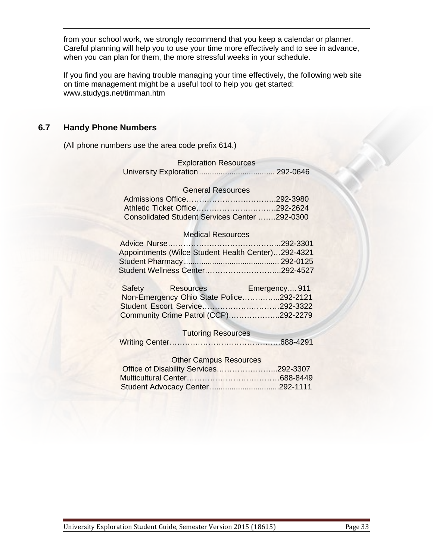from your school work, we strongly recommend that you keep a calendar or planner. Careful planning will help you to use your time more effectively and to see in advance, when you can plan for them, the more stressful weeks in your schedule.

If you find you are having trouble managing your time effectively, the following web site on time management might be a useful tool to help you get started: [www.studygs.net/timman.htm](http://www.studygs.net/timman.htm)

# **6.7 Handy Phone Numbers**

(All phone numbers use the area code prefix 614.)

Exploration Resources University Exploration................................... 292-0646

#### General Resources

| Consolidated Student Services Center 292-0300 |  |
|-----------------------------------------------|--|

#### Medical Resources

| Appointments (Wilce Student Health Center)292-4321 |  |
|----------------------------------------------------|--|
|                                                    |  |
|                                                    |  |

| Safety Resources                        | Emergency 911 |
|-----------------------------------------|---------------|
| Non-Emergency Ohio State Police292-2121 |               |
|                                         |               |
| Community Crime Patrol (CCP)292-2279    |               |

| <b>Tutoring Resources</b> |
|---------------------------|
|                           |

#### Other Campus Resources

| Office of Disability Services292-3307 |  |
|---------------------------------------|--|
|                                       |  |
|                                       |  |